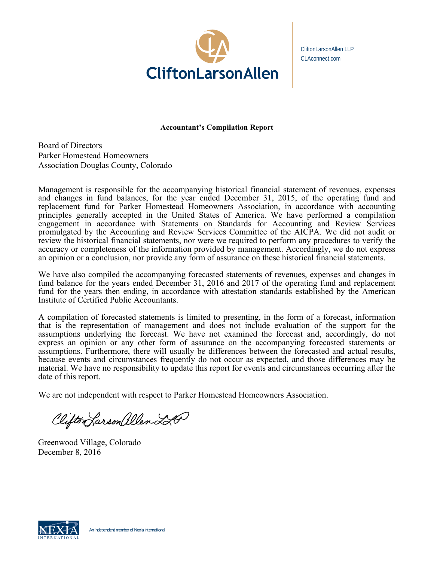

CliftonLarsonAllen LLP CLAconnect.com

# **Accountant's Compilation Report**

Board of Directors Parker Homestead Homeowners Association Douglas County, Colorado

Management is responsible for the accompanying historical financial statement of revenues, expenses and changes in fund balances, for the year ended December 31, 2015, of the operating fund and replacement fund for Parker Homestead Homeowners Association, in accordance with accounting principles generally accepted in the United States of America. We have performed a compilation engagement in accordance with Statements on Standards for Accounting and Review Services promulgated by the Accounting and Review Services Committee of the AICPA. We did not audit or review the historical financial statements, nor were we required to perform any procedures to verify the accuracy or completeness of the information provided by management. Accordingly, we do not express an opinion or a conclusion, nor provide any form of assurance on these historical financial statements.

We have also compiled the accompanying forecasted statements of revenues, expenses and changes in fund balance for the years ended December 31, 2016 and 2017 of the operating fund and replacement fund for the years then ending, in accordance with attestation standards established by the American Institute of Certified Public Accountants.

A compilation of forecasted statements is limited to presenting, in the form of a forecast, information that is the representation of management and does not include evaluation of the support for the assumptions underlying the forecast. We have not examined the forecast and, accordingly, do not express an opinion or any other form of assurance on the accompanying forecasted statements or assumptions. Furthermore, there will usually be differences between the forecasted and actual results, because events and circumstances frequently do not occur as expected, and those differences may be material. We have no responsibility to update this report for events and circumstances occurring after the date of this report.

We are not independent with respect to Parker Homestead Homeowners Association.

Clifton Larson allen 220

Greenwood Village, Colorado December 8 , 2016

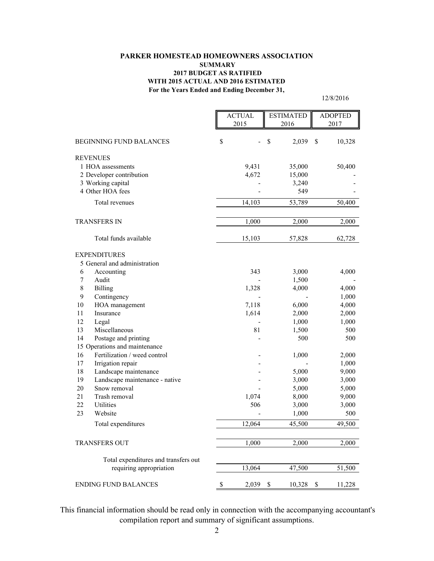#### **PARKER HOMESTEAD HOMEOWNERS ASSOCIATION SUMMARY 2017 BUDGET AS RATIFIED WITH 2015 ACTUAL AND 2016 ESTIMATED For the Years Ended and Ending December 31,**

12/8/2016

|                                      | <b>ACTUAL</b> |        | <b>ESTIMATED</b> | <b>ADOPTED</b> |        |
|--------------------------------------|---------------|--------|------------------|----------------|--------|
|                                      | 2015          |        | 2016             |                | 2017   |
| <b>BEGINNING FUND BALANCES</b>       | \$            |        | \$<br>2,039      | S              | 10,328 |
| <b>REVENUES</b>                      |               |        |                  |                |        |
| 1 HOA assessments                    |               | 9,431  | 35,000           |                | 50,400 |
| 2 Developer contribution             |               | 4,672  | 15,000           |                |        |
| 3 Working capital                    |               |        | 3,240            |                |        |
| 4 Other HOA fees                     |               |        | 549              |                |        |
| Total revenues                       |               | 14,103 | 53,789           |                | 50,400 |
| <b>TRANSFERS IN</b>                  |               | 1,000  | 2,000            |                | 2,000  |
| Total funds available                |               | 15,103 | 57,828           |                | 62,728 |
|                                      |               |        |                  |                |        |
| <b>EXPENDITURES</b>                  |               |        |                  |                |        |
| 5 General and administration<br>6    |               | 343    |                  |                |        |
| Accounting<br>7<br>Audit             |               |        | 3,000<br>1,500   |                | 4,000  |
| $\,$ 8 $\,$<br><b>Billing</b>        |               | 1,328  | 4,000            |                | 4,000  |
| 9<br>Contingency                     |               |        |                  |                | 1,000  |
| 10<br>HOA management                 |               | 7,118  | 6,000            |                | 4,000  |
| 11<br>Insurance                      |               | 1,614  | 2,000            |                | 2,000  |
| 12<br>Legal                          |               |        | 1,000            |                | 1,000  |
| 13<br>Miscellaneous                  |               | 81     | 1,500            |                | 500    |
| 14<br>Postage and printing           |               |        | 500              |                | 500    |
| 15 Operations and maintenance        |               |        |                  |                |        |
| 16<br>Fertilization / weed control   |               |        | 1,000            |                | 2,000  |
| 17<br>Irrigation repair              |               |        |                  |                | 1,000  |
| 18<br>Landscape maintenance          |               |        | 5,000            |                | 9,000  |
| 19<br>Landscape maintenance - native |               |        | 3,000            |                | 3,000  |
| 20<br>Snow removal                   |               |        | 5,000            |                | 5,000  |
| 21<br>Trash removal                  |               | 1,074  | 8,000            |                | 9,000  |
| 22<br>Utilities                      |               | 506    | 3,000            |                | 3,000  |
| 23<br>Website                        |               |        | 1,000            |                | 500    |
| Total expenditures                   |               | 12,064 | 45,500           |                | 49,500 |
| <b>TRANSFERS OUT</b>                 |               | 1,000  | 2,000            |                | 2,000  |
| Total expenditures and transfers out |               |        |                  |                |        |
| requiring appropriation              |               | 13,064 | 47,500           |                | 51,500 |
| <b>ENDING FUND BALANCES</b>          | \$            | 2,039  | \$<br>10,328     | \$             | 11,228 |

 This financial information should be read only in connection with the accompanying accountant's compilation report and summary of significant assumptions.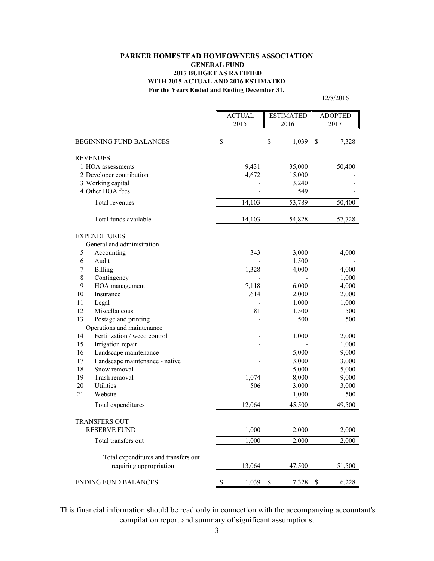#### **PARKER HOMESTEAD HOMEOWNERS ASSOCIATION GENERAL FUND 2017 BUDGET AS RATIFIED WITH 2015 ACTUAL AND 2016 ESTIMATED For the Years Ended and Ending December 31,**

12/8/2016

|         |                                      | <b>ACTUAL</b>    | <b>ESTIMATED</b> | <b>ADOPTED</b> |                |
|---------|--------------------------------------|------------------|------------------|----------------|----------------|
|         |                                      | 2015             | 2016             | 2017           |                |
|         |                                      |                  |                  |                |                |
|         | <b>BEGINNING FUND BALANCES</b>       | \$               | \$<br>1,039      | $\mathbf S$    | 7,328          |
|         | <b>REVENUES</b>                      |                  |                  |                |                |
|         | 1 HOA assessments                    | 9,431            | 35,000           |                | 50,400         |
|         | 2 Developer contribution             | 4,672            | 15,000           |                |                |
|         | 3 Working capital                    |                  | 3,240            |                |                |
|         | 4 Other HOA fees                     |                  | 549              |                |                |
|         | Total revenues                       | 14,103           | 53,789           |                | 50,400         |
|         | Total funds available                | 14,103           | 54,828           |                | 57,728         |
|         | <b>EXPENDITURES</b>                  |                  |                  |                |                |
|         | General and administration           |                  |                  |                |                |
| 5       | Accounting                           | 343              | 3,000            |                | 4,000          |
| 6       | Audit                                |                  | 1,500            |                |                |
| 7       | Billing                              | 1,328            | 4,000            |                | 4,000          |
| $8\,$   | Contingency                          |                  |                  |                | 1,000          |
| 9<br>10 | HOA management<br>Insurance          | 7,118            | 6,000            |                | 4,000          |
| 11      | Legal                                | 1,614            | 2,000<br>1,000   |                | 2,000<br>1,000 |
| 12      | Miscellaneous                        | 81               | 1,500            |                | 500            |
| 13      | Postage and printing                 |                  | 500              |                | 500            |
|         | Operations and maintenance           |                  |                  |                |                |
| 14      | Fertilization / weed control         |                  | 1,000            |                | 2,000          |
| 15      | Irrigation repair                    |                  |                  |                | 1,000          |
| 16      | Landscape maintenance                |                  | 5,000            |                | 9,000          |
| 17      | Landscape maintenance - native       |                  | 3,000            |                | 3,000          |
| 18      | Snow removal                         |                  | 5,000            |                | 5,000          |
| 19      | Trash removal                        | 1,074            | 8,000            |                | 9,000          |
| 20      | Utilities                            | 506              | 3,000            |                | 3,000          |
| 21      | Website                              |                  | 1,000            |                | 500            |
|         | Total expenditures                   | 12,064           | 45,500           |                | 49,500         |
|         | <b>TRANSFERS OUT</b>                 |                  |                  |                |                |
|         | RESERVE FUND                         | 1,000            | 2,000            |                | 2,000          |
|         | Total transfers out                  | 1,000            | 2,000            |                | 2,000          |
|         | Total expenditures and transfers out |                  |                  |                |                |
|         | requiring appropriation              | 13,064           | 47,500           |                | 51,500         |
|         | <b>ENDING FUND BALANCES</b>          | \$<br>$1,039$ \$ | 7,328            | - \$           | 6,228          |

 This financial information should be read only in connection with the accompanying accountant's compilation report and summary of significant assumptions.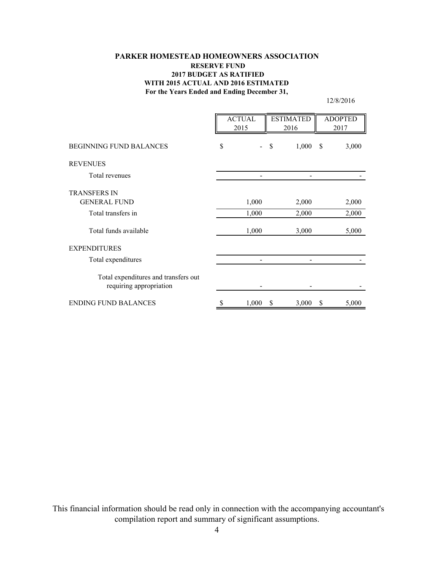## **PARKER HOMESTEAD HOMEOWNERS ASSOCIATION RESERVE FUND 2017 BUDGET AS RATIFIED WITH 2015 ACTUAL AND 2016 ESTIMATED For the Years Ended and Ending December 31,**

12/8/2016

|                                                                 | <b>ACTUAL</b><br>2015 |       | <b>ESTIMATED</b><br>2016 |         | <b>ADOPTED</b><br>2017 |       |
|-----------------------------------------------------------------|-----------------------|-------|--------------------------|---------|------------------------|-------|
| <b>BEGINNING FUND BALANCES</b>                                  | \$                    |       | \$                       | 1,000 S |                        | 3,000 |
| <b>REVENUES</b>                                                 |                       |       |                          |         |                        |       |
| Total revenues                                                  |                       |       |                          |         |                        |       |
| <b>TRANSFERS IN</b>                                             |                       |       |                          |         |                        |       |
| <b>GENERAL FUND</b>                                             |                       | 1,000 |                          | 2,000   |                        | 2,000 |
| Total transfers in                                              |                       | 1,000 |                          | 2,000   |                        | 2,000 |
| Total funds available                                           |                       | 1,000 |                          | 3,000   |                        | 5,000 |
| <b>EXPENDITURES</b>                                             |                       |       |                          |         |                        |       |
| Total expenditures                                              |                       |       |                          |         |                        |       |
| Total expenditures and transfers out<br>requiring appropriation |                       |       |                          |         |                        |       |
| <b>ENDING FUND BALANCES</b>                                     | \$                    | 1,000 | \$                       | 3,000   | \$                     | 5,000 |

 This financial information should be read only in connection with the accompanying accountant's compilation report and summary of significant assumptions.